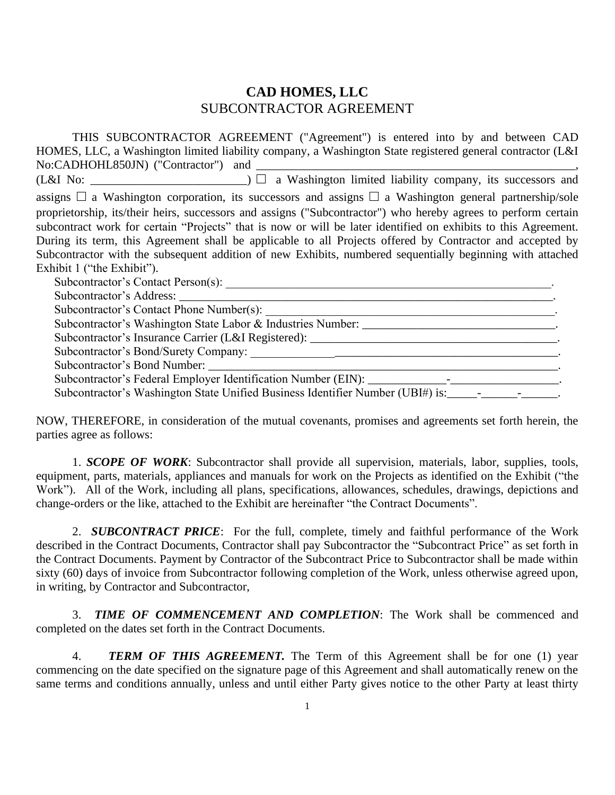## **CAD HOMES, LLC** SUBCONTRACTOR AGREEMENT

THIS SUBCONTRACTOR AGREEMENT ("Agreement") is entered into by and between CAD HOMES, LLC, a Washington limited liability company, a Washington State registered general contractor (L&I No:CADHOHL850JN) ("Contractor") and \_\_\_\_\_\_\_\_\_\_\_\_\_\_\_\_\_\_\_\_\_\_\_\_\_\_\_\_\_\_\_\_\_\_\_\_\_\_\_\_\_\_\_\_\_\_\_\_\_\_\_\_\_, (L&I No: \_\_\_\_\_\_\_\_\_\_\_\_\_\_\_\_\_\_\_\_\_\_\_\_\_\_) **□** a Washington limited liability company, its successors and assigns **□** a Washington corporation, its successors and assigns **□** a Washington general partnership/sole proprietorship, its/their heirs, successors and assigns ("Subcontractor") who hereby agrees to perform certain subcontract work for certain "Projects" that is now or will be later identified on exhibits to this Agreement. During its term, this Agreement shall be applicable to all Projects offered by Contractor and accepted by Subcontractor with the subsequent addition of new Exhibits, numbered sequentially beginning with attached Exhibit 1 ("the Exhibit"). Subcontractor's Contact Person(s): \_\_\_\_\_\_\_\_\_\_\_\_\_\_\_\_\_\_\_\_\_\_\_\_\_\_\_\_\_\_\_\_\_\_\_\_\_\_\_\_\_\_\_\_\_\_\_\_\_\_\_\_\_\_. Subcontractor's Address: Subcontractor's Contact Phone Number(s): Subcontractor's Washington State Labor & Industries Number: \_\_\_\_\_\_\_\_\_\_\_\_\_\_\_\_\_\_\_\_\_\_\_\_\_\_\_\_\_\_\_\_. Subcontractor's Insurance Carrier (L&I Registered): \_\_\_\_\_\_\_\_\_\_\_\_\_\_\_\_\_\_\_\_\_\_\_\_\_\_\_\_\_\_\_\_\_\_\_\_\_\_\_\_\_.

Subcontractor's Bond/Surety Company: \_\_\_\_\_\_\_\_\_\_\_\_\_\_\_\_\_\_\_\_\_\_\_\_\_\_\_\_\_\_\_\_\_\_\_\_\_\_\_\_\_\_\_\_\_\_\_\_\_\_\_.

Subcontractor's Bond Number:

Subcontractor's Federal Employer Identification Number (EIN): \_\_\_\_\_\_\_\_\_\_\_\_\_-\_\_\_\_\_\_\_\_\_\_\_\_\_\_\_\_\_\_.

Subcontractor's Washington State Unified Business Identifier Number (UBI#) is: \_\_\_\_\_\_\_\_\_\_\_\_\_\_\_\_\_\_\_\_

NOW, THEREFORE, in consideration of the mutual covenants, promises and agreements set forth herein, the parties agree as follows:

1. *SCOPE OF WORK*: Subcontractor shall provide all supervision, materials, labor, supplies, tools, equipment, parts, materials, appliances and manuals for work on the Projects as identified on the Exhibit ("the Work"). All of the Work, including all plans, specifications, allowances, schedules, drawings, depictions and change-orders or the like, attached to the Exhibit are hereinafter "the Contract Documents".

2. *SUBCONTRACT PRICE*: For the full, complete, timely and faithful performance of the Work described in the Contract Documents, Contractor shall pay Subcontractor the "Subcontract Price" as set forth in the Contract Documents. Payment by Contractor of the Subcontract Price to Subcontractor shall be made within sixty (60) days of invoice from Subcontractor following completion of the Work, unless otherwise agreed upon, in writing, by Contractor and Subcontractor,

3. *TIME OF COMMENCEMENT AND COMPLETION*: The Work shall be commenced and completed on the dates set forth in the Contract Documents.

4. *TERM OF THIS AGREEMENT*. The Term of this Agreement shall be for one (1) year commencing on the date specified on the signature page of this Agreement and shall automatically renew on the same terms and conditions annually, unless and until either Party gives notice to the other Party at least thirty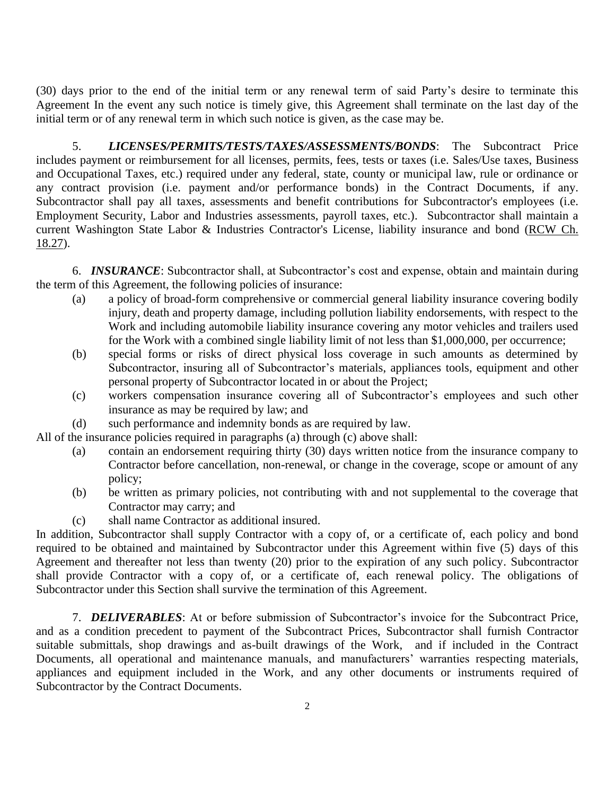(30) days prior to the end of the initial term or any renewal term of said Party's desire to terminate this Agreement In the event any such notice is timely give, this Agreement shall terminate on the last day of the initial term or of any renewal term in which such notice is given, as the case may be.

5. *LICENSES/PERMITS/TESTS/TAXES/ASSESSMENTS/BONDS*: The Subcontract Price includes payment or reimbursement for all licenses, permits, fees, tests or taxes (i.e. Sales/Use taxes, Business and Occupational Taxes, etc.) required under any federal, state, county or municipal law, rule or ordinance or any contract provision (i.e. payment and/or performance bonds) in the Contract Documents, if any. Subcontractor shall pay all taxes, assessments and benefit contributions for Subcontractor's employees (i.e. Employment Security, Labor and Industries assessments, payroll taxes, etc.). Subcontractor shall maintain a current Washington State Labor & Industries Contractor's License, liability insurance and bond (RCW Ch. 18.27).

6. *INSURANCE*: Subcontractor shall, at Subcontractor's cost and expense, obtain and maintain during the term of this Agreement, the following policies of insurance:

- (a) a policy of broad-form comprehensive or commercial general liability insurance covering bodily injury, death and property damage, including pollution liability endorsements, with respect to the Work and including automobile liability insurance covering any motor vehicles and trailers used for the Work with a combined single liability limit of not less than \$1,000,000, per occurrence;
- (b) special forms or risks of direct physical loss coverage in such amounts as determined by Subcontractor, insuring all of Subcontractor's materials, appliances tools, equipment and other personal property of Subcontractor located in or about the Project;
- (c) workers compensation insurance covering all of Subcontractor's employees and such other insurance as may be required by law; and
- (d) such performance and indemnity bonds as are required by law.

All of the insurance policies required in paragraphs (a) through (c) above shall:

- (a) contain an endorsement requiring thirty (30) days written notice from the insurance company to Contractor before cancellation, non-renewal, or change in the coverage, scope or amount of any policy;
- (b) be written as primary policies, not contributing with and not supplemental to the coverage that Contractor may carry; and
- (c) shall name Contractor as additional insured.

In addition, Subcontractor shall supply Contractor with a copy of, or a certificate of, each policy and bond required to be obtained and maintained by Subcontractor under this Agreement within five (5) days of this Agreement and thereafter not less than twenty (20) prior to the expiration of any such policy. Subcontractor shall provide Contractor with a copy of, or a certificate of, each renewal policy. The obligations of Subcontractor under this Section shall survive the termination of this Agreement.

7. *DELIVERABLES*: At or before submission of Subcontractor's invoice for the Subcontract Price, and as a condition precedent to payment of the Subcontract Prices, Subcontractor shall furnish Contractor suitable submittals, shop drawings and as-built drawings of the Work, and if included in the Contract Documents, all operational and maintenance manuals, and manufacturers' warranties respecting materials, appliances and equipment included in the Work, and any other documents or instruments required of Subcontractor by the Contract Documents.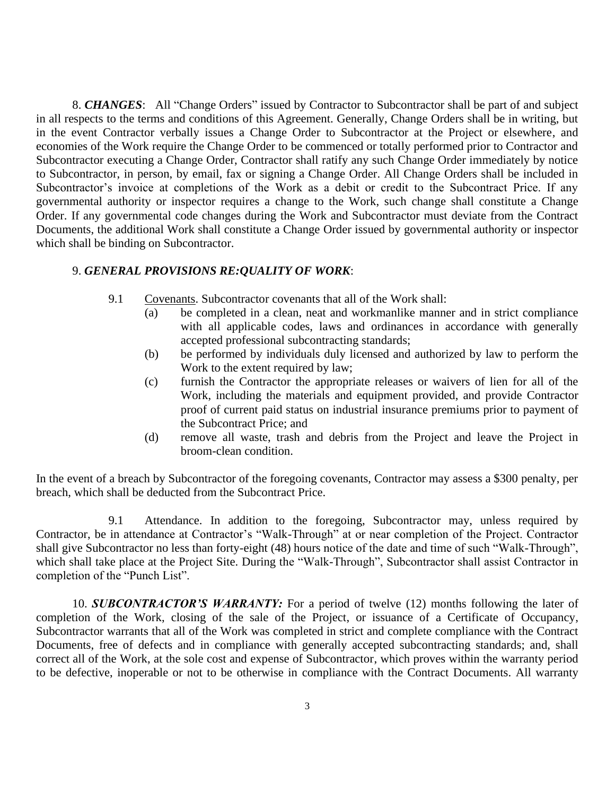8. *CHANGES*: All "Change Orders" issued by Contractor to Subcontractor shall be part of and subject in all respects to the terms and conditions of this Agreement. Generally, Change Orders shall be in writing, but in the event Contractor verbally issues a Change Order to Subcontractor at the Project or elsewhere, and economies of the Work require the Change Order to be commenced or totally performed prior to Contractor and Subcontractor executing a Change Order, Contractor shall ratify any such Change Order immediately by notice to Subcontractor, in person, by email, fax or signing a Change Order. All Change Orders shall be included in Subcontractor's invoice at completions of the Work as a debit or credit to the Subcontract Price. If any governmental authority or inspector requires a change to the Work, such change shall constitute a Change Order. If any governmental code changes during the Work and Subcontractor must deviate from the Contract Documents, the additional Work shall constitute a Change Order issued by governmental authority or inspector which shall be binding on Subcontractor.

## 9. *GENERAL PROVISIONS RE:QUALITY OF WORK*:

- 9.1 Covenants. Subcontractor covenants that all of the Work shall:
	- (a) be completed in a clean, neat and workmanlike manner and in strict compliance with all applicable codes, laws and ordinances in accordance with generally accepted professional subcontracting standards;
	- (b) be performed by individuals duly licensed and authorized by law to perform the Work to the extent required by law;
	- (c) furnish the Contractor the appropriate releases or waivers of lien for all of the Work, including the materials and equipment provided, and provide Contractor proof of current paid status on industrial insurance premiums prior to payment of the Subcontract Price; and
	- (d) remove all waste, trash and debris from the Project and leave the Project in broom-clean condition.

In the event of a breach by Subcontractor of the foregoing covenants, Contractor may assess a \$300 penalty, per breach, which shall be deducted from the Subcontract Price.

9.1 Attendance. In addition to the foregoing, Subcontractor may, unless required by Contractor, be in attendance at Contractor's "Walk-Through" at or near completion of the Project. Contractor shall give Subcontractor no less than forty-eight (48) hours notice of the date and time of such "Walk-Through", which shall take place at the Project Site. During the "Walk-Through", Subcontractor shall assist Contractor in completion of the "Punch List".

10. *SUBCONTRACTOR'S WARRANTY:* For a period of twelve (12) months following the later of completion of the Work, closing of the sale of the Project, or issuance of a Certificate of Occupancy, Subcontractor warrants that all of the Work was completed in strict and complete compliance with the Contract Documents, free of defects and in compliance with generally accepted subcontracting standards; and, shall correct all of the Work, at the sole cost and expense of Subcontractor, which proves within the warranty period to be defective, inoperable or not to be otherwise in compliance with the Contract Documents. All warranty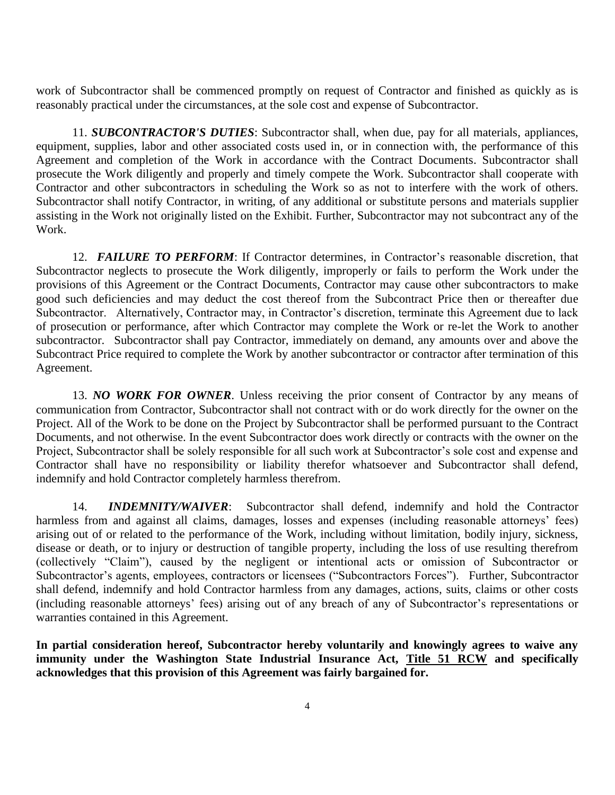work of Subcontractor shall be commenced promptly on request of Contractor and finished as quickly as is reasonably practical under the circumstances, at the sole cost and expense of Subcontractor.

11. *SUBCONTRACTOR'S DUTIES*: Subcontractor shall, when due, pay for all materials, appliances, equipment, supplies, labor and other associated costs used in, or in connection with, the performance of this Agreement and completion of the Work in accordance with the Contract Documents. Subcontractor shall prosecute the Work diligently and properly and timely compete the Work. Subcontractor shall cooperate with Contractor and other subcontractors in scheduling the Work so as not to interfere with the work of others. Subcontractor shall notify Contractor, in writing, of any additional or substitute persons and materials supplier assisting in the Work not originally listed on the Exhibit. Further, Subcontractor may not subcontract any of the Work.

12. *FAILURE TO PERFORM*: If Contractor determines, in Contractor's reasonable discretion, that Subcontractor neglects to prosecute the Work diligently, improperly or fails to perform the Work under the provisions of this Agreement or the Contract Documents, Contractor may cause other subcontractors to make good such deficiencies and may deduct the cost thereof from the Subcontract Price then or thereafter due Subcontractor. Alternatively, Contractor may, in Contractor's discretion, terminate this Agreement due to lack of prosecution or performance, after which Contractor may complete the Work or re-let the Work to another subcontractor. Subcontractor shall pay Contractor, immediately on demand, any amounts over and above the Subcontract Price required to complete the Work by another subcontractor or contractor after termination of this Agreement.

13. *NO WORK FOR OWNER*. Unless receiving the prior consent of Contractor by any means of communication from Contractor, Subcontractor shall not contract with or do work directly for the owner on the Project. All of the Work to be done on the Project by Subcontractor shall be performed pursuant to the Contract Documents, and not otherwise. In the event Subcontractor does work directly or contracts with the owner on the Project, Subcontractor shall be solely responsible for all such work at Subcontractor's sole cost and expense and Contractor shall have no responsibility or liability therefor whatsoever and Subcontractor shall defend, indemnify and hold Contractor completely harmless therefrom.

14. *INDEMNITY/WAIVER*: Subcontractor shall defend, indemnify and hold the Contractor harmless from and against all claims, damages, losses and expenses (including reasonable attorneys' fees) arising out of or related to the performance of the Work, including without limitation, bodily injury, sickness, disease or death, or to injury or destruction of tangible property, including the loss of use resulting therefrom (collectively "Claim"), caused by the negligent or intentional acts or omission of Subcontractor or Subcontractor's agents, employees, contractors or licensees ("Subcontractors Forces"). Further, Subcontractor shall defend, indemnify and hold Contractor harmless from any damages, actions, suits, claims or other costs (including reasonable attorneys' fees) arising out of any breach of any of Subcontractor's representations or warranties contained in this Agreement.

**In partial consideration hereof, Subcontractor hereby voluntarily and knowingly agrees to waive any immunity under the Washington State Industrial Insurance Act, Title 51 RCW and specifically acknowledges that this provision of this Agreement was fairly bargained for.**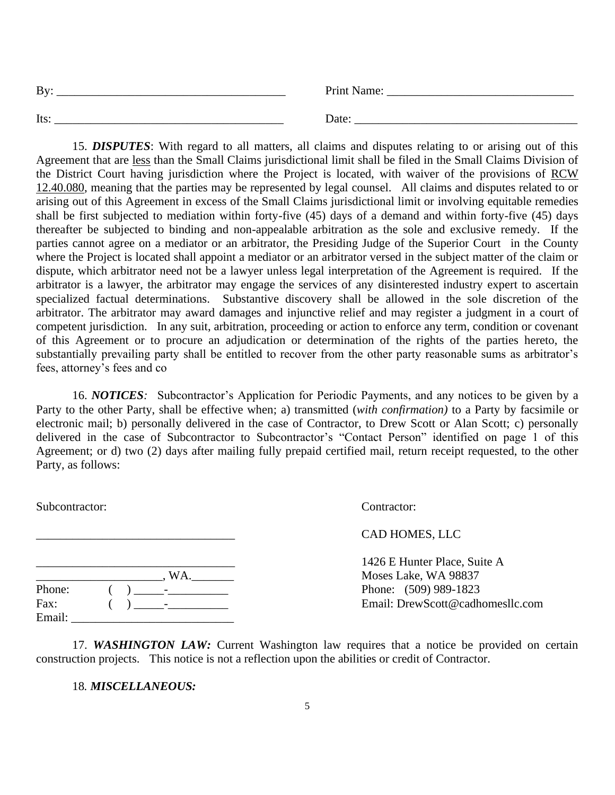| <b>By</b> | Print Name: |
|-----------|-------------|
| Its       | Date:       |

15. *DISPUTES*: With regard to all matters, all claims and disputes relating to or arising out of this Agreement that are less than the Small Claims jurisdictional limit shall be filed in the Small Claims Division of the District Court having jurisdiction where the Project is located, with waiver of the provisions of RCW 12.40.080, meaning that the parties may be represented by legal counsel. All claims and disputes related to or arising out of this Agreement in excess of the Small Claims jurisdictional limit or involving equitable remedies shall be first subjected to mediation within forty-five (45) days of a demand and within forty-five (45) days thereafter be subjected to binding and non-appealable arbitration as the sole and exclusive remedy. If the parties cannot agree on a mediator or an arbitrator, the Presiding Judge of the Superior Court in the County where the Project is located shall appoint a mediator or an arbitrator versed in the subject matter of the claim or dispute, which arbitrator need not be a lawyer unless legal interpretation of the Agreement is required. If the arbitrator is a lawyer, the arbitrator may engage the services of any disinterested industry expert to ascertain specialized factual determinations. Substantive discovery shall be allowed in the sole discretion of the arbitrator. The arbitrator may award damages and injunctive relief and may register a judgment in a court of competent jurisdiction. In any suit, arbitration, proceeding or action to enforce any term, condition or covenant of this Agreement or to procure an adjudication or determination of the rights of the parties hereto, the substantially prevailing party shall be entitled to recover from the other party reasonable sums as arbitrator's fees, attorney's fees and co

16. *NOTICES:* Subcontractor's Application for Periodic Payments, and any notices to be given by a Party to the other Party, shall be effective when; a) transmitted (*with confirmation)* to a Party by facsimile or electronic mail; b) personally delivered in the case of Contractor, to Drew Scott or Alan Scott; c) personally delivered in the case of Subcontractor to Subcontractor's "Contact Person" identified on page 1 of this Agreement; or d) two (2) days after mailing fully prepaid certified mail, return receipt requested, to the other Party, as follows:

|  | Suvconu actor. |  |  |  |
|--|----------------|--|--|--|
|  |                |  |  |  |
|  |                |  |  |  |

Subcontractor: Contractor:

\_\_\_\_\_\_\_\_\_\_\_\_\_\_\_\_\_\_\_\_\_\_\_\_\_\_\_\_\_\_\_\_\_ CAD HOMES, LLC

1426 E Hunter Place, Suite A Moses Lake, WA 98837 Phone: (509) 989-1823 Email: DrewScott@cadhomesllc.com

|        | WA. |
|--------|-----|
| Phone: |     |
| Fax:   |     |
| Email: |     |

17. *WASHINGTON LAW:* Current Washington law requires that a notice be provided on certain construction projects. This notice is not a reflection upon the abilities or credit of Contractor.

18*. MISCELLANEOUS:*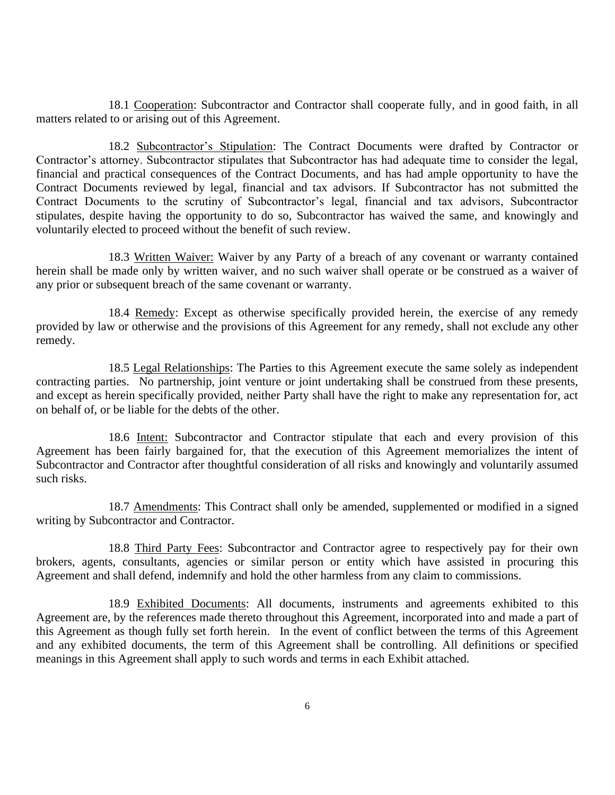18.1 Cooperation: Subcontractor and Contractor shall cooperate fully, and in good faith, in all matters related to or arising out of this Agreement.

18.2 Subcontractor's Stipulation: The Contract Documents were drafted by Contractor or Contractor's attorney. Subcontractor stipulates that Subcontractor has had adequate time to consider the legal, financial and practical consequences of the Contract Documents, and has had ample opportunity to have the Contract Documents reviewed by legal, financial and tax advisors. If Subcontractor has not submitted the Contract Documents to the scrutiny of Subcontractor's legal, financial and tax advisors, Subcontractor stipulates, despite having the opportunity to do so, Subcontractor has waived the same, and knowingly and voluntarily elected to proceed without the benefit of such review.

18.3 Written Waiver: Waiver by any Party of a breach of any covenant or warranty contained herein shall be made only by written waiver, and no such waiver shall operate or be construed as a waiver of any prior or subsequent breach of the same covenant or warranty.

18.4 Remedy: Except as otherwise specifically provided herein, the exercise of any remedy provided by law or otherwise and the provisions of this Agreement for any remedy, shall not exclude any other remedy.

18.5 Legal Relationships: The Parties to this Agreement execute the same solely as independent contracting parties. No partnership, joint venture or joint undertaking shall be construed from these presents, and except as herein specifically provided, neither Party shall have the right to make any representation for, act on behalf of, or be liable for the debts of the other.

18.6 Intent: Subcontractor and Contractor stipulate that each and every provision of this Agreement has been fairly bargained for, that the execution of this Agreement memorializes the intent of Subcontractor and Contractor after thoughtful consideration of all risks and knowingly and voluntarily assumed such risks.

18.7 Amendments: This Contract shall only be amended, supplemented or modified in a signed writing by Subcontractor and Contractor.

18.8 Third Party Fees: Subcontractor and Contractor agree to respectively pay for their own brokers, agents, consultants, agencies or similar person or entity which have assisted in procuring this Agreement and shall defend, indemnify and hold the other harmless from any claim to commissions.

18.9 Exhibited Documents: All documents, instruments and agreements exhibited to this Agreement are, by the references made thereto throughout this Agreement, incorporated into and made a part of this Agreement as though fully set forth herein. In the event of conflict between the terms of this Agreement and any exhibited documents, the term of this Agreement shall be controlling. All definitions or specified meanings in this Agreement shall apply to such words and terms in each Exhibit attached.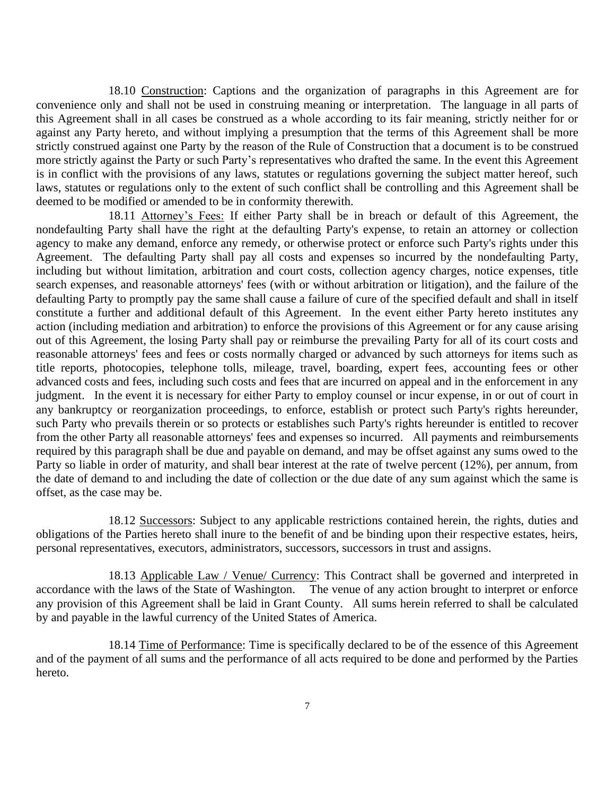18.10 Construction: Captions and the organization of paragraphs in this Agreement are for convenience only and shall not be used in construing meaning or interpretation. The language in all parts of this Agreement shall in all cases be construed as a whole according to its fair meaning, strictly neither for or against any Party hereto, and without implying a presumption that the terms of this Agreement shall be more strictly construed against one Party by the reason of the Rule of Construction that a document is to be construed more strictly against the Party or such Party's representatives who drafted the same. In the event this Agreement is in conflict with the provisions of any laws, statutes or regulations governing the subject matter hereof, such laws, statutes or regulations only to the extent of such conflict shall be controlling and this Agreement shall be deemed to be modified or amended to be in conformity therewith.

18.11 Attorney's Fees: If either Party shall be in breach or default of this Agreement, the nondefaulting Party shall have the right at the defaulting Party's expense, to retain an attorney or collection agency to make any demand, enforce any remedy, or otherwise protect or enforce such Party's rights under this Agreement. The defaulting Party shall pay all costs and expenses so incurred by the nondefaulting Party, including but without limitation, arbitration and court costs, collection agency charges, notice expenses, title search expenses, and reasonable attorneys' fees (with or without arbitration or litigation), and the failure of the defaulting Party to promptly pay the same shall cause a failure of cure of the specified default and shall in itself constitute a further and additional default of this Agreement. In the event either Party hereto institutes any action (including mediation and arbitration) to enforce the provisions of this Agreement or for any cause arising out of this Agreement, the losing Party shall pay or reimburse the prevailing Party for all of its court costs and reasonable attorneys' fees and fees or costs normally charged or advanced by such attorneys for items such as title reports, photocopies, telephone tolls, mileage, travel, boarding, expert fees, accounting fees or other advanced costs and fees, including such costs and fees that are incurred on appeal and in the enforcement in any judgment. In the event it is necessary for either Party to employ counsel or incur expense, in or out of court in any bankruptcy or reorganization proceedings, to enforce, establish or protect such Party's rights hereunder, such Party who prevails therein or so protects or establishes such Party's rights hereunder is entitled to recover from the other Party all reasonable attorneys' fees and expenses so incurred. All payments and reimbursements required by this paragraph shall be due and payable on demand, and may be offset against any sums owed to the Party so liable in order of maturity, and shall bear interest at the rate of twelve percent (12%), per annum, from the date of demand to and including the date of collection or the due date of any sum against which the same is offset, as the case may be.

18.12 Successors: Subject to any applicable restrictions contained herein, the rights, duties and obligations of the Parties hereto shall inure to the benefit of and be binding upon their respective estates, heirs, personal representatives, executors, administrators, successors, successors in trust and assigns.

18.13 Applicable Law / Venue/ Currency: This Contract shall be governed and interpreted in accordance with the laws of the State of Washington. The venue of any action brought to interpret or enforce any provision of this Agreement shall be laid in Grant County. All sums herein referred to shall be calculated by and payable in the lawful currency of the United States of America.

18.14 Time of Performance: Time is specifically declared to be of the essence of this Agreement and of the payment of all sums and the performance of all acts required to be done and performed by the Parties hereto.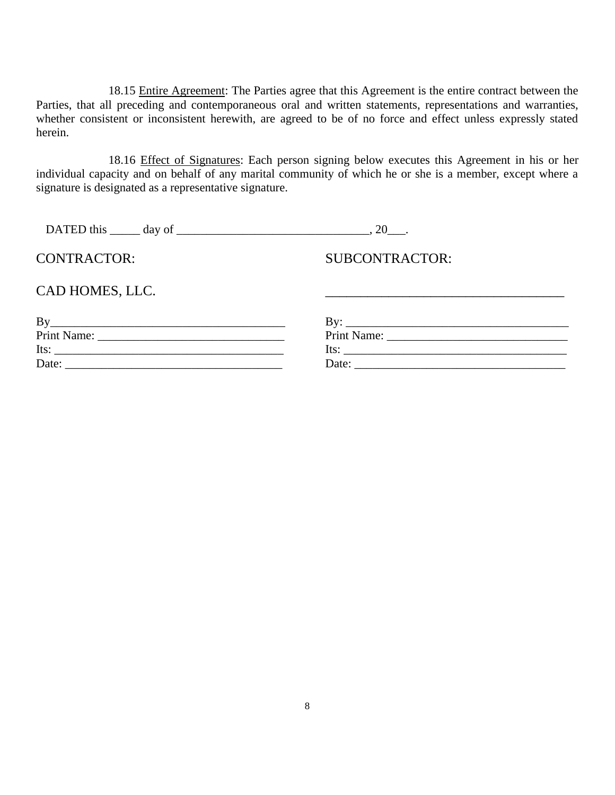18.15 Entire Agreement: The Parties agree that this Agreement is the entire contract between the Parties, that all preceding and contemporaneous oral and written statements, representations and warranties, whether consistent or inconsistent herewith, are agreed to be of no force and effect unless expressly stated herein.

18.16 Effect of Signatures: Each person signing below executes this Agreement in his or her individual capacity and on behalf of any marital community of which he or she is a member, except where a signature is designated as a representative signature.

| DATED this $\_\_\_\$ day of $\_\_\_\_\_\_\$ |                               |  |
|---------------------------------------------|-------------------------------|--|
| <b>CONTRACTOR:</b>                          | <b>SUBCONTRACTOR:</b>         |  |
| CAD HOMES, LLC.                             |                               |  |
|                                             |                               |  |
|                                             |                               |  |
|                                             | Its: $\overline{\phantom{a}}$ |  |
|                                             |                               |  |
|                                             |                               |  |